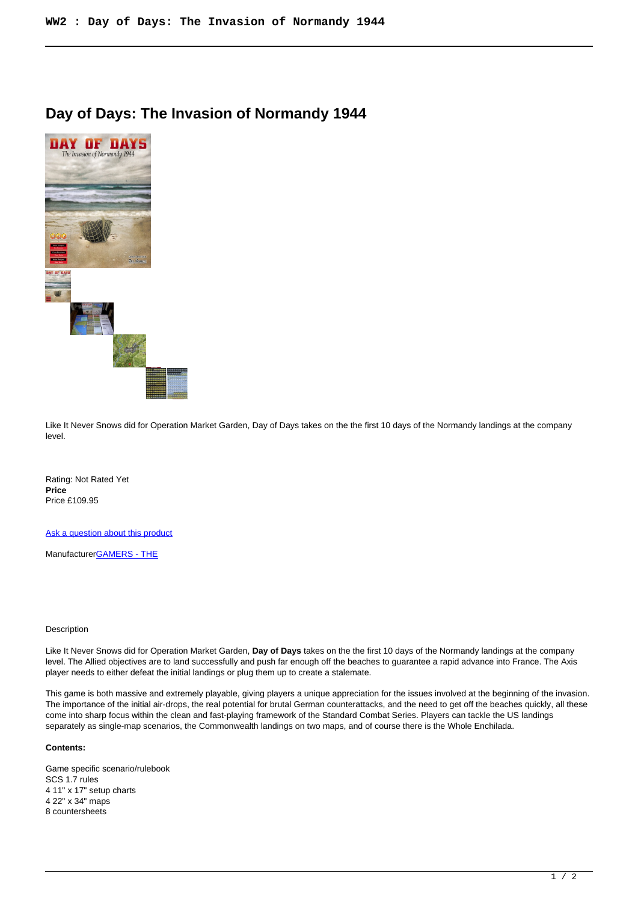# **Day of Days: The Invasion of Normandy 1944**



Like It Never Snows did for Operation Market Garden, Day of Days takes on the the first 10 days of the Normandy landings at the company level.

Rating: Not Rated Yet **Price**  Price £109.95

[Ask a question about this product](https://www.secondchancegames.com/index.php?option=com_virtuemart&view=productdetails&task=askquestion&virtuemart_product_id=8955&virtuemart_category_id=5&tmpl=component)

Manufacturer[GAMERS - THE](https://www.secondchancegames.com/index.php?option=com_virtuemart&view=manufacturer&virtuemart_manufacturer_id=2518&tmpl=component)

### Description

Like It Never Snows did for Operation Market Garden, **Day of Days** takes on the the first 10 days of the Normandy landings at the company level. The Allied objectives are to land successfully and push far enough off the beaches to guarantee a rapid advance into France. The Axis player needs to either defeat the initial landings or plug them up to create a stalemate.

This game is both massive and extremely playable, giving players a unique appreciation for the issues involved at the beginning of the invasion. The importance of the initial air-drops, the real potential for brutal German counterattacks, and the need to get off the beaches quickly, all these come into sharp focus within the clean and fast-playing framework of the Standard Combat Series. Players can tackle the US landings separately as single-map scenarios, the Commonwealth landings on two maps, and of course there is the Whole Enchilada.

## **Contents:**

Game specific scenario/rulebook SCS 1.7 rules 4 11" x 17" setup charts 4 22" x 34" maps 8 countersheets